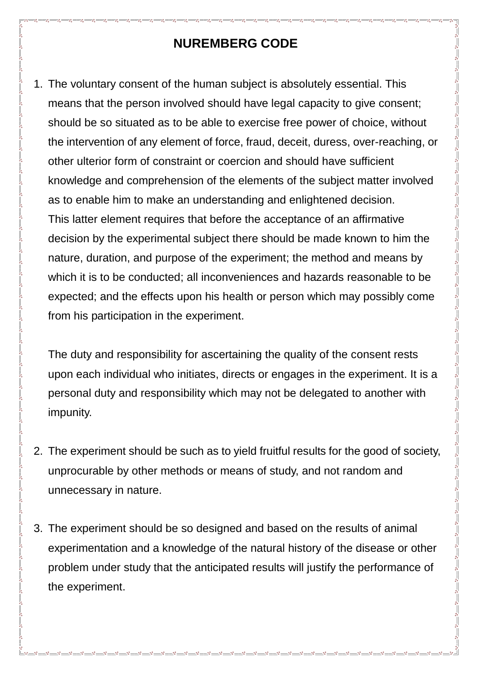## **NUREMBERG CODE**

1. The voluntary consent of the human subject is absolutely essential. This means that the person involved should have legal capacity to give consent; should be so situated as to be able to exercise free power of choice, without the intervention of any element of force, fraud, deceit, duress, over-reaching, or other ulterior form of constraint or coercion and should have sufficient knowledge and comprehension of the elements of the subject matter involved as to enable him to make an understanding and enlightened decision. This latter element requires that before the acceptance of an affirmative decision by the experimental subject there should be made known to him the nature, duration, and purpose of the experiment; the method and means by which it is to be conducted; all inconveniences and hazards reasonable to be expected; and the effects upon his health or person which may possibly come from his participation in the experiment.

The duty and responsibility for ascertaining the quality of the consent rests upon each individual who initiates, directs or engages in the experiment. It is a personal duty and responsibility which may not be delegated to another with impunity.

- 2. The experiment should be such as to yield fruitful results for the good of society, unprocurable by other methods or means of study, and not random and unnecessary in nature.
- 3. The experiment should be so designed and based on the results of animal experimentation and a knowledge of the natural history of the disease or other problem under study that the anticipated results will justify the performance of the experiment.